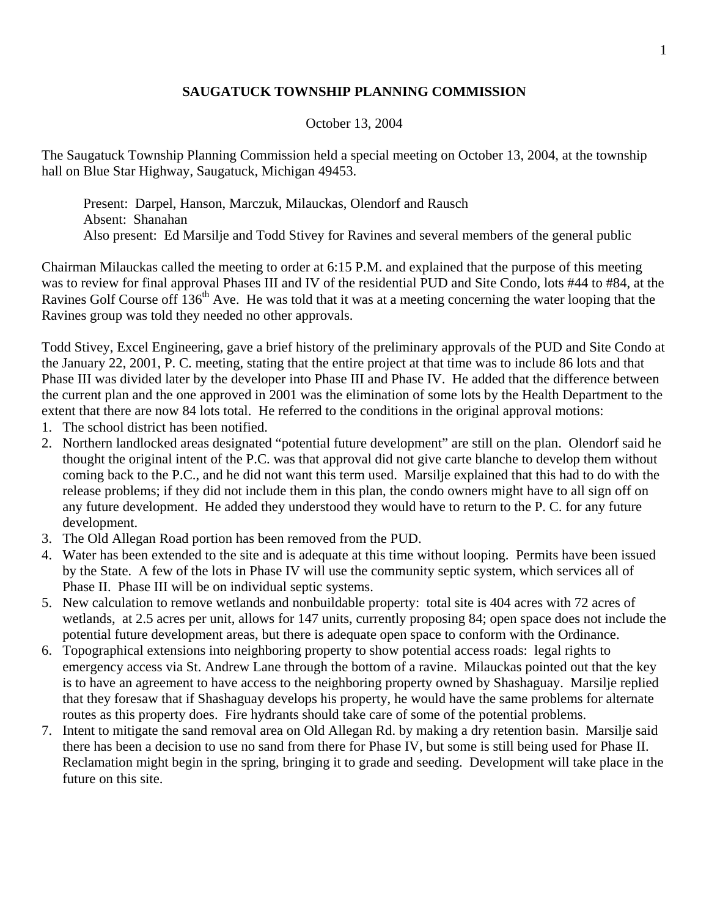## **SAUGATUCK TOWNSHIP PLANNING COMMISSION**

## October 13, 2004

The Saugatuck Township Planning Commission held a special meeting on October 13, 2004, at the township hall on Blue Star Highway, Saugatuck, Michigan 49453.

 Present: Darpel, Hanson, Marczuk, Milauckas, Olendorf and Rausch Absent: Shanahan Also present: Ed Marsilje and Todd Stivey for Ravines and several members of the general public

Chairman Milauckas called the meeting to order at 6:15 P.M. and explained that the purpose of this meeting was to review for final approval Phases III and IV of the residential PUD and Site Condo, lots #44 to #84, at the Ravines Golf Course off 136<sup>th</sup> Ave. He was told that it was at a meeting concerning the water looping that the Ravines group was told they needed no other approvals.

Todd Stivey, Excel Engineering, gave a brief history of the preliminary approvals of the PUD and Site Condo at the January 22, 2001, P. C. meeting, stating that the entire project at that time was to include 86 lots and that Phase III was divided later by the developer into Phase III and Phase IV. He added that the difference between the current plan and the one approved in 2001 was the elimination of some lots by the Health Department to the extent that there are now 84 lots total. He referred to the conditions in the original approval motions:

- 1. The school district has been notified.
- 2. Northern landlocked areas designated "potential future development" are still on the plan. Olendorf said he thought the original intent of the P.C. was that approval did not give carte blanche to develop them without coming back to the P.C., and he did not want this term used. Marsilje explained that this had to do with the release problems; if they did not include them in this plan, the condo owners might have to all sign off on any future development. He added they understood they would have to return to the P. C. for any future development.
- 3. The Old Allegan Road portion has been removed from the PUD.
- 4. Water has been extended to the site and is adequate at this time without looping. Permits have been issued by the State. A few of the lots in Phase IV will use the community septic system, which services all of Phase II. Phase III will be on individual septic systems.
- 5. New calculation to remove wetlands and nonbuildable property: total site is 404 acres with 72 acres of wetlands, at 2.5 acres per unit, allows for 147 units, currently proposing 84; open space does not include the potential future development areas, but there is adequate open space to conform with the Ordinance.
- 6. Topographical extensions into neighboring property to show potential access roads: legal rights to emergency access via St. Andrew Lane through the bottom of a ravine. Milauckas pointed out that the key is to have an agreement to have access to the neighboring property owned by Shashaguay. Marsilje replied that they foresaw that if Shashaguay develops his property, he would have the same problems for alternate routes as this property does. Fire hydrants should take care of some of the potential problems.
- 7. Intent to mitigate the sand removal area on Old Allegan Rd. by making a dry retention basin. Marsilje said there has been a decision to use no sand from there for Phase IV, but some is still being used for Phase II. Reclamation might begin in the spring, bringing it to grade and seeding. Development will take place in the future on this site.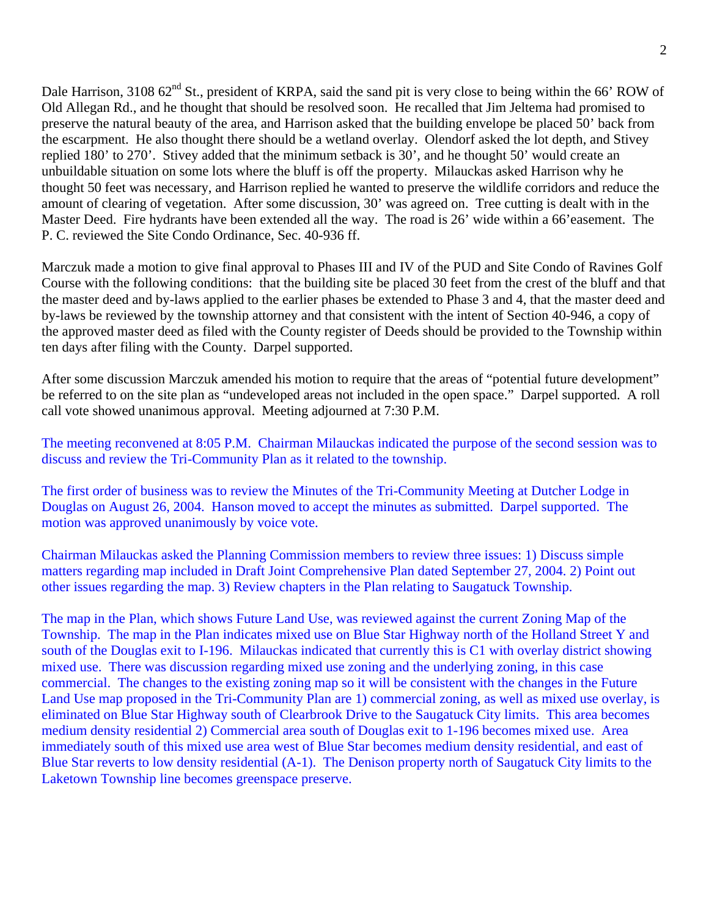Dale Harrison, 3108 62<sup>nd</sup> St., president of KRPA, said the sand pit is very close to being within the 66' ROW of Old Allegan Rd., and he thought that should be resolved soon. He recalled that Jim Jeltema had promised to preserve the natural beauty of the area, and Harrison asked that the building envelope be placed 50' back from the escarpment. He also thought there should be a wetland overlay. Olendorf asked the lot depth, and Stivey replied 180' to 270'. Stivey added that the minimum setback is 30', and he thought 50' would create an unbuildable situation on some lots where the bluff is off the property. Milauckas asked Harrison why he thought 50 feet was necessary, and Harrison replied he wanted to preserve the wildlife corridors and reduce the amount of clearing of vegetation. After some discussion, 30' was agreed on. Tree cutting is dealt with in the Master Deed. Fire hydrants have been extended all the way. The road is 26' wide within a 66'easement. The P. C. reviewed the Site Condo Ordinance, Sec. 40-936 ff.

Marczuk made a motion to give final approval to Phases III and IV of the PUD and Site Condo of Ravines Golf Course with the following conditions: that the building site be placed 30 feet from the crest of the bluff and that the master deed and by-laws applied to the earlier phases be extended to Phase 3 and 4, that the master deed and by-laws be reviewed by the township attorney and that consistent with the intent of Section 40-946, a copy of the approved master deed as filed with the County register of Deeds should be provided to the Township within ten days after filing with the County. Darpel supported.

After some discussion Marczuk amended his motion to require that the areas of "potential future development" be referred to on the site plan as "undeveloped areas not included in the open space." Darpel supported. A roll call vote showed unanimous approval. Meeting adjourned at 7:30 P.M.

The meeting reconvened at 8:05 P.M. Chairman Milauckas indicated the purpose of the second session was to discuss and review the Tri-Community Plan as it related to the township.

The first order of business was to review the Minutes of the Tri-Community Meeting at Dutcher Lodge in Douglas on August 26, 2004. Hanson moved to accept the minutes as submitted. Darpel supported. The motion was approved unanimously by voice vote.

Chairman Milauckas asked the Planning Commission members to review three issues: 1) Discuss simple matters regarding map included in Draft Joint Comprehensive Plan dated September 27, 2004. 2) Point out other issues regarding the map. 3) Review chapters in the Plan relating to Saugatuck Township.

The map in the Plan, which shows Future Land Use, was reviewed against the current Zoning Map of the Township. The map in the Plan indicates mixed use on Blue Star Highway north of the Holland Street Y and south of the Douglas exit to I-196. Milauckas indicated that currently this is C1 with overlay district showing mixed use. There was discussion regarding mixed use zoning and the underlying zoning, in this case commercial. The changes to the existing zoning map so it will be consistent with the changes in the Future Land Use map proposed in the Tri-Community Plan are 1) commercial zoning, as well as mixed use overlay, is eliminated on Blue Star Highway south of Clearbrook Drive to the Saugatuck City limits. This area becomes medium density residential 2) Commercial area south of Douglas exit to 1-196 becomes mixed use. Area immediately south of this mixed use area west of Blue Star becomes medium density residential, and east of Blue Star reverts to low density residential (A-1). The Denison property north of Saugatuck City limits to the Laketown Township line becomes greenspace preserve.